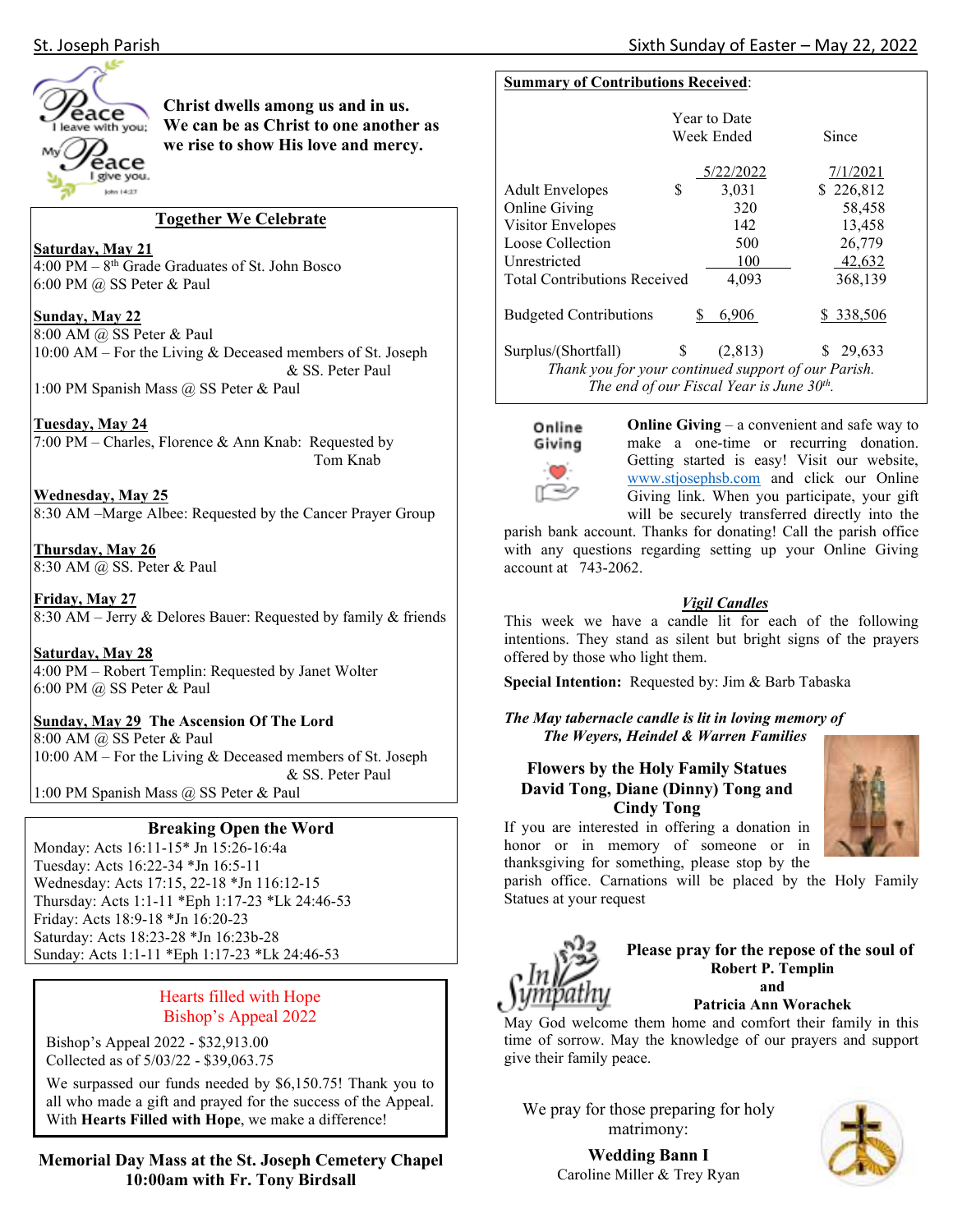



# **Christ dwells among us and in us. We can be as Christ to one another as we rise to show His love and mercy.**

#### **Together We Celebrate**

## **Saturday, May 21**

 $4:00 \text{ PM} - 8^{\text{th}}$  Grade Graduates of St. John Bosco 6:00 PM @ SS Peter & Paul

#### **Sunday, May 22**

8:00 AM @ SS Peter & Paul 10:00 AM – For the Living & Deceased members of St. Joseph & SS. Peter Paul

1:00 PM Spanish Mass @ SS Peter & Paul

## **Tuesday, May 24**

7:00 PM – Charles, Florence & Ann Knab: Requested by Tom Knab

**Wednesday, May 25**  8:30 AM –Marge Albee: Requested by the Cancer Prayer Group

**Thursday, May 26**  8:30 AM @ SS. Peter & Paul

**Friday, May 27**  8:30 AM – Jerry & Delores Bauer: Requested by family & friends

**Saturday, May 28**  4:00 PM – Robert Templin: Requested by Janet Wolter 6:00 PM @ SS Peter & Paul

**Sunday, May 29 The Ascension Of The Lord** 8:00 AM @ SS Peter & Paul 10:00 AM – For the Living & Deceased members of St. Joseph & SS. Peter Paul 1:00 PM Spanish Mass @ SS Peter & Paul

# **Breaking Open the Word**

Monday: Acts 16:11-15\* Jn 15:26-16:4a Tuesday: Acts 16:22-34 \*Jn 16:5-11 Wednesday: Acts 17:15, 22-18 \*Jn 116:12-15 Thursday: Acts 1:1-11 \*Eph 1:17-23 \*Lk 24:46-53 Friday: Acts 18:9-18 \*Jn 16:20-23 Saturday: Acts 18:23-28 \*Jn 16:23b-28 Sunday: Acts 1:1-11 \*Eph 1:17-23 \*Lk 24:46-53

# Hearts filled with Hope Bishop's Appeal 2022

Bishop's Appeal 2022 - \$32,913.00 Collected as of 5/03/22 - \$39,063.75

We surpassed our funds needed by \$6,150.75! Thank you to all who made a gift and prayed for the success of the Appeal. With **Hearts Filled with Hope**, we make a difference!

**Memorial Day Mass at the St. Joseph Cemetery Chapel 10:00am with Fr. Tony Birdsall** 

#### **Summary of Contributions Received**:

|                                                         | <b>Year to Date</b><br>Week Ended |           | Since        |  |  |  |
|---------------------------------------------------------|-----------------------------------|-----------|--------------|--|--|--|
|                                                         |                                   | 5/22/2022 | 7/1/2021     |  |  |  |
| <b>Adult Envelopes</b>                                  | S                                 | 3,031     | \$226,812    |  |  |  |
| <b>Online Giving</b>                                    |                                   | 320       | 58,458       |  |  |  |
| Visitor Envelopes                                       |                                   | 142       | 13,458       |  |  |  |
| Loose Collection                                        |                                   | 500       | 26,779       |  |  |  |
| Unrestricted                                            |                                   | 100       | 42,632       |  |  |  |
| <b>Total Contributions Received</b><br>4,093<br>368,139 |                                   |           |              |  |  |  |
| <b>Budgeted Contributions</b>                           |                                   | 6.906     | \$ 338,506   |  |  |  |
| Surplus/(Shortfall)                                     | \$                                | (2,813)   | 29,633<br>S. |  |  |  |
| Thank you for your continued support of our Parish.     |                                   |           |              |  |  |  |
| The end of our Fiscal Year is June 30th.                |                                   |           |              |  |  |  |



**Online Giving** – a convenient and safe way to make a one-time or recurring donation. Getting started is easy! Visit our website, www.stjosephsb.com and click our Online Giving link. When you participate, your gift will be securely transferred directly into the

parish bank account. Thanks for donating! Call the parish office with any questions regarding setting up your Online Giving account at 743-2062.

## *Vigil Candles*

This week we have a candle lit for each of the following intentions. They stand as silent but bright signs of the prayers offered by those who light them.

**Special Intention:** Requested by: Jim & Barb Tabaska

*The May tabernacle candle is lit in loving memory of The Weyers, Heindel & Warren Families* 

# **Flowers by the Holy Family Statues David Tong, Diane (Dinny) Tong and Cindy Tong**

If you are interested in offering a donation in honor or in memory of someone or in thanksgiving for something, please stop by the

parish office. Carnations will be placed by the Holy Family Statues at your request



**Please pray for the repose of the soul of Robert P. Templin and** 

**Patricia Ann Worachek** 

May God welcome them home and comfort their family in this time of sorrow. May the knowledge of our prayers and support give their family peace.

We pray for those preparing for holy matrimony:



**Wedding Bann I**  Caroline Miller & Trey Ryan

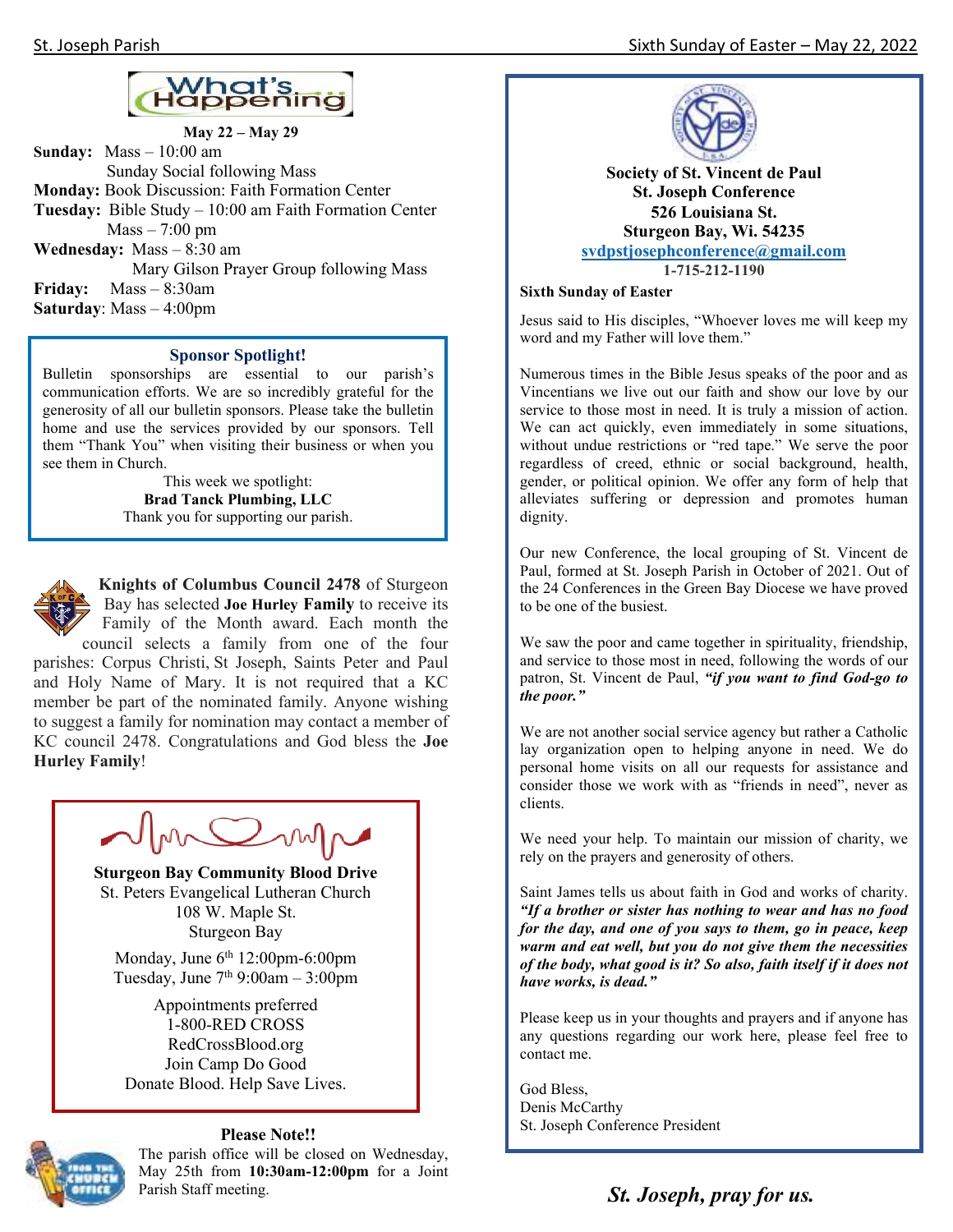

**May 22 – May 29 Sunday:** Mass – 10:00 am Sunday Social following Mass **Monday:** Book Discussion: Faith Formation Center **Tuesday:** Bible Study – 10:00 am Faith Formation Center Mass – 7:00 pm **Wednesday:** Mass – 8:30 am Mary Gilson Prayer Group following Mass **Friday:** Mass – 8:30am **Saturday**: Mass – 4:00pm

#### **Sponsor Spotlight!**

Bulletin sponsorships are essential to our parish's communication efforts. We are so incredibly grateful for the generosity of all our bulletin sponsors. Please take the bulletin home and use the services provided by our sponsors. Tell them "Thank You" when visiting their business or when you see them in Church.

> This week we spotlight: **Brad Tanck Plumbing, LLC** Thank you for supporting our parish.



**Knights of Columbus Council 2478** of Sturgeon Bay has selected **Joe Hurley Family** to receive its Family of the Month award. Each month the council selects a family from one of the four

parishes: Corpus Christi, St Joseph, Saints Peter and Paul and Holy Name of Mary. It is not required that a KC member be part of the nominated family. Anyone wishing to suggest a family for nomination may contact a member of KC council 2478. Congratulations and God bless the **Joe Hurley Family**!

NMCOMP

**Sturgeon Bay Community Blood Drive**  St. Peters Evangelical Lutheran Church 108 W. Maple St. Sturgeon Bay

Monday, June  $6<sup>th</sup> 12:00$ pm-6:00pm Tuesday, June  $7<sup>th</sup>$  9:00am – 3:00pm

Appointments preferred 1-800-RED CROSS RedCrossBlood.org Join Camp Do Good Donate Blood. Help Save Lives.



#### **Please Note!!**

The parish office will be closed on Wednesday, May 25th from **10:30am-12:00pm** for a Joint Parish Staff meeting. **St. Joseph, pray for us. St. Supering St. St. Joseph, pray for us.** 



**Society of St. Vincent de Paul St. Joseph Conference 526 Louisiana St. Sturgeon Bay, Wi. 54235 svdpstjosephconference@gmail.com 1-715-212-1190**

#### **Sixth Sunday of Easter**

Jesus said to His disciples, "Whoever loves me will keep my word and my Father will love them."

Numerous times in the Bible Jesus speaks of the poor and as Vincentians we live out our faith and show our love by our service to those most in need. It is truly a mission of action. We can act quickly, even immediately in some situations, without undue restrictions or "red tape." We serve the poor regardless of creed, ethnic or social background, health, gender, or political opinion. We offer any form of help that alleviates suffering or depression and promotes human dignity.

Our new Conference, the local grouping of St. Vincent de Paul, formed at St. Joseph Parish in October of 2021. Out of the 24 Conferences in the Green Bay Diocese we have proved to be one of the busiest.

We saw the poor and came together in spirituality, friendship, and service to those most in need, following the words of our patron, St. Vincent de Paul, *"if you want to find God-go to the poor."* 

We are not another social service agency but rather a Catholic lay organization open to helping anyone in need. We do personal home visits on all our requests for assistance and consider those we work with as "friends in need", never as clients.

We need your help. To maintain our mission of charity, we rely on the prayers and generosity of others.

Saint James tells us about faith in God and works of charity. *"If a brother or sister has nothing to wear and has no food for the day, and one of you says to them, go in peace, keep warm and eat well, but you do not give them the necessities of the body, what good is it? So also, faith itself if it does not have works, is dead."* 

Please keep us in your thoughts and prayers and if anyone has any questions regarding our work here, please feel free to contact me.

God Bless, Denis McCarthy St. Joseph Conference President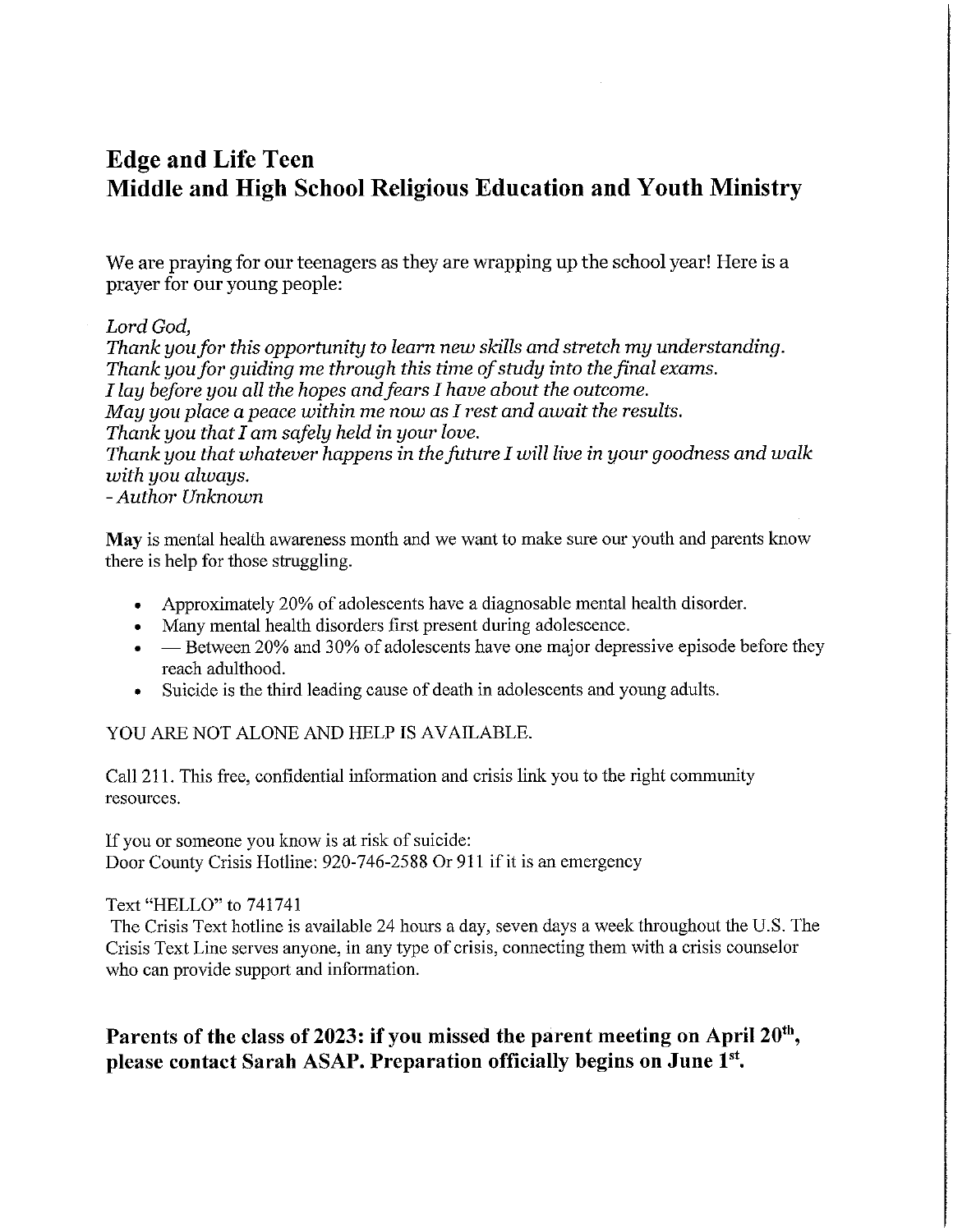# **Edge and Life Teen** Middle and High School Religious Education and Youth Ministry

We are praying for our teenagers as they are wrapping up the school year! Here is a prayer for our young people:

# Lord God,

Thank you for this opportunity to learn new skills and stretch my understanding. Thank you for quiding me through this time of study into the final exams. I lay before you all the hopes and fears I have about the outcome. May you place a peace within me now as I rest and await the results. Thank you that I am safely held in your love. Thank you that whatever happens in the future I will live in your goodness and walk with you always. - Author Unknown

May is mental health awareness month and we want to make sure our youth and parents know there is help for those struggling.

- Approximately 20% of adolescents have a diagnosable mental health disorder.  $\bullet$
- Many mental health disorders first present during adolescence.  $\bullet$
- Between 20% and 30% of adolescents have one major depressive episode before they reach adulthood.
- Suicide is the third leading cause of death in adolescents and young adults.

# YOU ARE NOT ALONE AND HELP IS AVAILABLE.

Call 211. This free, confidential information and crisis link you to the right community resources.

If you or someone you know is at risk of suicide: Door County Crisis Hotline: 920-746-2588 Or 911 if it is an emergency

Text "HELLO" to 741741

The Crisis Text hotline is available 24 hours a day, seven days a week throughout the U.S. The Crisis Text Line serves anyone, in any type of crisis, connecting them with a crisis counselor who can provide support and information.

# Parents of the class of 2023: if you missed the parent meeting on April 20<sup>th</sup>, please contact Sarah ASAP. Preparation officially begins on June 1st.